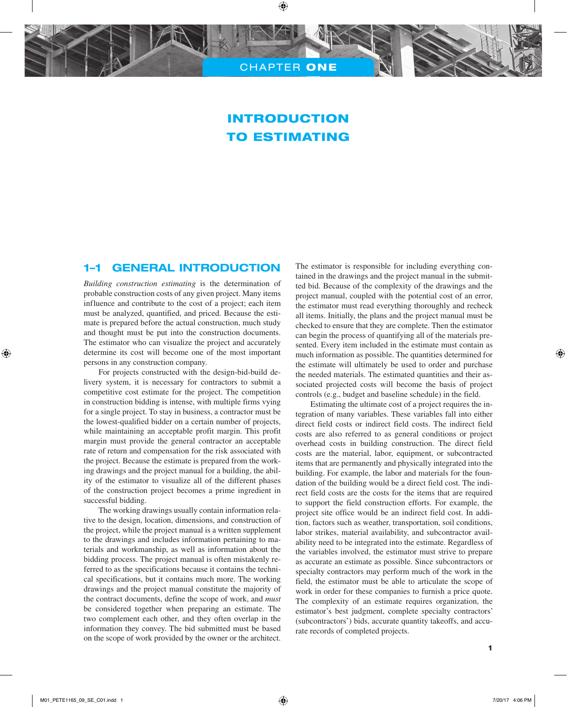# INTRODUCTION TO ESTIMATING

## 1–1 GENERAL INTRODUCTION

*Building construction estimating* is the determination of probable construction costs of any given project. Many items influence and contribute to the cost of a project; each item must be analyzed, quantified, and priced. Because the estimate is prepared before the actual construction, much study and thought must be put into the construction documents. The estimator who can visualize the project and accurately determine its cost will become one of the most important persons in any construction company.

For projects constructed with the design-bid-build delivery system, it is necessary for contractors to submit a competitive cost estimate for the project. The competition in construction bidding is intense, with multiple firms vying for a single project. To stay in business, a contractor must be the lowest-qualified bidder on a certain number of projects, while maintaining an acceptable profit margin. This profit margin must provide the general contractor an acceptable rate of return and compensation for the risk associated with the project. Because the estimate is prepared from the working drawings and the project manual for a building, the ability of the estimator to visualize all of the different phases of the construction project becomes a prime ingredient in successful bidding.

The working drawings usually contain information relative to the design, location, dimensions, and construction of the project, while the project manual is a written supplement to the drawings and includes information pertaining to materials and workmanship, as well as information about the bidding process. The project manual is often mistakenly referred to as the specifications because it contains the technical specifications, but it contains much more. The working drawings and the project manual constitute the majority of the contract documents, define the scope of work, and *must* be considered together when preparing an estimate. The two complement each other, and they often overlap in the information they convey. The bid submitted must be based on the scope of work provided by the owner or the architect.

The estimator is responsible for including everything contained in the drawings and the project manual in the submitted bid. Because of the complexity of the drawings and the project manual, coupled with the potential cost of an error, the estimator must read everything thoroughly and recheck all items. Initially, the plans and the project manual must be checked to ensure that they are complete. Then the estimator can begin the process of quantifying all of the materials presented. Every item included in the estimate must contain as much information as possible. The quantities determined for the estimate will ultimately be used to order and purchase the needed materials. The estimated quantities and their associated projected costs will become the basis of project controls (e.g., budget and baseline schedule) in the field.

Estimating the ultimate cost of a project requires the integration of many variables. These variables fall into either direct field costs or indirect field costs. The indirect field costs are also referred to as general conditions or project overhead costs in building construction. The direct field costs are the material, labor, equipment, or subcontracted items that are permanently and physically integrated into the building. For example, the labor and materials for the foundation of the building would be a direct field cost. The indirect field costs are the costs for the items that are required to support the field construction efforts. For example, the project site office would be an indirect field cost. In addition, factors such as weather, transportation, soil conditions, labor strikes, material availability, and subcontractor availability need to be integrated into the estimate. Regardless of the variables involved, the estimator must strive to prepare as accurate an estimate as possible. Since subcontractors or specialty contractors may perform much of the work in the field, the estimator must be able to articulate the scope of work in order for these companies to furnish a price quote. The complexity of an estimate requires organization, the estimator's best judgment, complete specialty contractors' (subcontractors') bids, accurate quantity takeoffs, and accurate records of completed projects.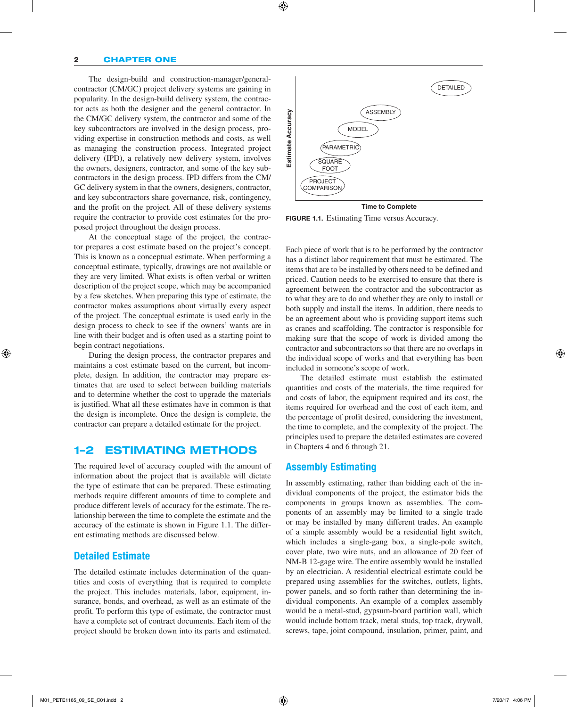The design-build and construction-manager/generalcontractor (CM/GC) project delivery systems are gaining in popularity. In the design-build delivery system, the contractor acts as both the designer and the general contractor. In the CM/GC delivery system, the contractor and some of the key subcontractors are involved in the design process, providing expertise in construction methods and costs, as well as managing the construction process. Integrated project delivery (IPD), a relatively new delivery system, involves the owners, designers, contractor, and some of the key subcontractors in the design process. IPD differs from the CM/ GC delivery system in that the owners, designers, contractor, and key subcontractors share governance, risk, contingency, and the profit on the project. All of these delivery systems require the contractor to provide cost estimates for the proposed project throughout the design process.

At the conceptual stage of the project, the contractor prepares a cost estimate based on the project's concept. This is known as a conceptual estimate. When performing a conceptual estimate, typically, drawings are not available or they are very limited. What exists is often verbal or written description of the project scope, which may be accompanied by a few sketches. When preparing this type of estimate, the contractor makes assumptions about virtually every aspect of the project. The conceptual estimate is used early in the design process to check to see if the owners' wants are in line with their budget and is often used as a starting point to begin contract negotiations.

During the design process, the contractor prepares and maintains a cost estimate based on the current, but incomplete, design. In addition, the contractor may prepare estimates that are used to select between building materials and to determine whether the cost to upgrade the materials is justified. What all these estimates have in common is that the design is incomplete. Once the design is complete, the contractor can prepare a detailed estimate for the project.

### 1–2 ESTIMATING METHODS

The required level of accuracy coupled with the amount of information about the project that is available will dictate the type of estimate that can be prepared. These estimating methods require different amounts of time to complete and produce different levels of accuracy for the estimate. The relationship between the time to complete the estimate and the accuracy of the estimate is shown in Figure 1.1. The different estimating methods are discussed below.

#### Detailed Estimate

The detailed estimate includes determination of the quantities and costs of everything that is required to complete the project. This includes materials, labor, equipment, insurance, bonds, and overhead, as well as an estimate of the profit. To perform this type of estimate, the contractor must have a complete set of contract documents. Each item of the project should be broken down into its parts and estimated.



FIGURE 1.1. Estimating Time versus Accuracy.

Each piece of work that is to be performed by the contractor has a distinct labor requirement that must be estimated. The items that are to be installed by others need to be defined and priced. Caution needs to be exercised to ensure that there is agreement between the contractor and the subcontractor as to what they are to do and whether they are only to install or both supply and install the items. In addition, there needs to be an agreement about who is providing support items such as cranes and scaffolding. The contractor is responsible for making sure that the scope of work is divided among the contractor and subcontractors so that there are no overlaps in the individual scope of works and that everything has been included in someone's scope of work.

The detailed estimate must establish the estimated quantities and costs of the materials, the time required for and costs of labor, the equipment required and its cost, the items required for overhead and the cost of each item, and the percentage of profit desired, considering the investment, the time to complete, and the complexity of the project. The principles used to prepare the detailed estimates are covered in Chapters 4 and 6 through 21.

### Assembly Estimating

In assembly estimating, rather than bidding each of the individual components of the project, the estimator bids the components in groups known as assemblies. The components of an assembly may be limited to a single trade or may be installed by many different trades. An example of a simple assembly would be a residential light switch, which includes a single-gang box, a single-pole switch, cover plate, two wire nuts, and an allowance of 20 feet of NM-B 12-gage wire. The entire assembly would be installed by an electrician. A residential electrical estimate could be prepared using assemblies for the switches, outlets, lights, power panels, and so forth rather than determining the individual components. An example of a complex assembly would be a metal-stud, gypsum-board partition wall, which would include bottom track, metal studs, top track, drywall, screws, tape, joint compound, insulation, primer, paint, and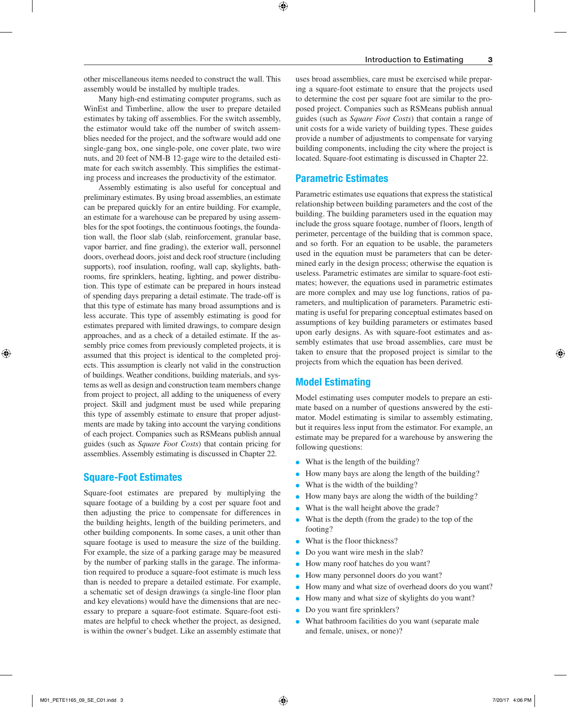other miscellaneous items needed to construct the wall. This assembly would be installed by multiple trades.

Many high-end estimating computer programs, such as WinEst and Timberline, allow the user to prepare detailed estimates by taking off assemblies. For the switch assembly, the estimator would take off the number of switch assemblies needed for the project, and the software would add one single-gang box, one single-pole, one cover plate, two wire nuts, and 20 feet of NM-B 12-gage wire to the detailed estimate for each switch assembly. This simplifies the estimating process and increases the productivity of the estimator.

Assembly estimating is also useful for conceptual and preliminary estimates. By using broad assemblies, an estimate can be prepared quickly for an entire building. For example, an estimate for a warehouse can be prepared by using assembles for the spot footings, the continuous footings, the foundation wall, the floor slab (slab, reinforcement, granular base, vapor barrier, and fine grading), the exterior wall, personnel doors, overhead doors, joist and deck roof structure (including supports), roof insulation, roofing, wall cap, skylights, bathrooms, fire sprinklers, heating, lighting, and power distribution. This type of estimate can be prepared in hours instead of spending days preparing a detail estimate. The trade-off is that this type of estimate has many broad assumptions and is less accurate. This type of assembly estimating is good for estimates prepared with limited drawings, to compare design approaches, and as a check of a detailed estimate. If the assembly price comes from previously completed projects, it is assumed that this project is identical to the completed projects. This assumption is clearly not valid in the construction of buildings. Weather conditions, building materials, and systems as well as design and construction team members change from project to project, all adding to the uniqueness of every project. Skill and judgment must be used while preparing this type of assembly estimate to ensure that proper adjustments are made by taking into account the varying conditions of each project. Companies such as RSMeans publish annual guides (such as *Square Foot Costs*) that contain pricing for assemblies. Assembly estimating is discussed in Chapter 22.

### Square-Foot Estimates

Square-foot estimates are prepared by multiplying the square footage of a building by a cost per square foot and then adjusting the price to compensate for differences in the building heights, length of the building perimeters, and other building components. In some cases, a unit other than square footage is used to measure the size of the building. For example, the size of a parking garage may be measured by the number of parking stalls in the garage. The information required to produce a square-foot estimate is much less than is needed to prepare a detailed estimate. For example, a schematic set of design drawings (a single-line floor plan and key elevations) would have the dimensions that are necessary to prepare a square-foot estimate. Square-foot estimates are helpful to check whether the project, as designed, is within the owner's budget. Like an assembly estimate that uses broad assemblies, care must be exercised while preparing a square-foot estimate to ensure that the projects used to determine the cost per square foot are similar to the proposed project. Companies such as RSMeans publish annual guides (such as *Square Foot Costs*) that contain a range of unit costs for a wide variety of building types. These guides provide a number of adjustments to compensate for varying building components, including the city where the project is located. Square-foot estimating is discussed in Chapter 22.

### Parametric Estimates

Parametric estimates use equations that express the statistical relationship between building parameters and the cost of the building. The building parameters used in the equation may include the gross square footage, number of floors, length of perimeter, percentage of the building that is common space, and so forth. For an equation to be usable, the parameters used in the equation must be parameters that can be determined early in the design process; otherwise the equation is useless. Parametric estimates are similar to square-foot estimates; however, the equations used in parametric estimates are more complex and may use log functions, ratios of parameters, and multiplication of parameters. Parametric estimating is useful for preparing conceptual estimates based on assumptions of key building parameters or estimates based upon early designs. As with square-foot estimates and assembly estimates that use broad assemblies, care must be taken to ensure that the proposed project is similar to the projects from which the equation has been derived.

### Model Estimating

Model estimating uses computer models to prepare an estimate based on a number of questions answered by the estimator. Model estimating is similar to assembly estimating, but it requires less input from the estimator. For example, an estimate may be prepared for a warehouse by answering the following questions:

- What is the length of the building?
- How many bays are along the length of the building?
- $\bullet$  What is the width of the building?
- How many bays are along the width of the building?
- What is the wall height above the grade?
- $\bullet$  What is the depth (from the grade) to the top of the footing?
- What is the floor thickness?
- Do you want wire mesh in the slab?
- How many roof hatches do you want?
- How many personnel doors do you want?
- How many and what size of overhead doors do you want?
- How many and what size of skylights do you want?
- Do you want fire sprinklers?
- What bathroom facilities do you want (separate male and female, unisex, or none)?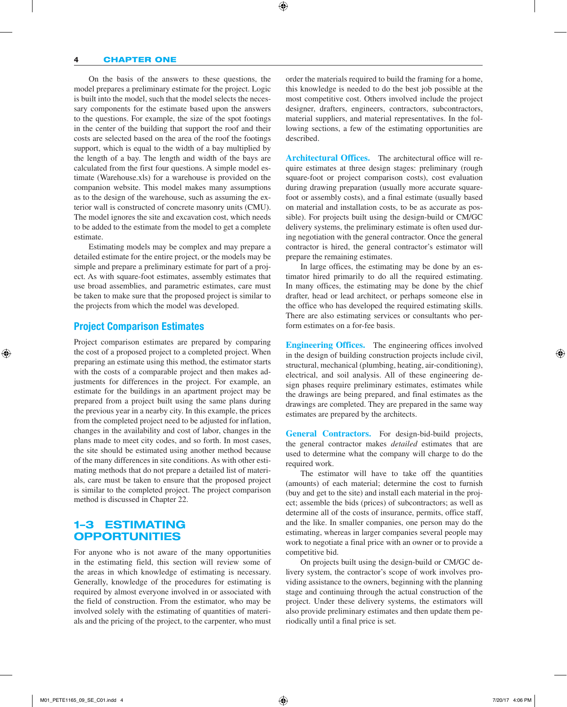On the basis of the answers to these questions, the model prepares a preliminary estimate for the project. Logic is built into the model, such that the model selects the necessary components for the estimate based upon the answers to the questions. For example, the size of the spot footings in the center of the building that support the roof and their costs are selected based on the area of the roof the footings support, which is equal to the width of a bay multiplied by the length of a bay. The length and width of the bays are calculated from the first four questions. A simple model estimate (Warehouse.xls) for a warehouse is provided on the companion website. This model makes many assumptions as to the design of the warehouse, such as assuming the exterior wall is constructed of concrete masonry units (CMU). The model ignores the site and excavation cost, which needs to be added to the estimate from the model to get a complete estimate.

Estimating models may be complex and may prepare a detailed estimate for the entire project, or the models may be simple and prepare a preliminary estimate for part of a project. As with square-foot estimates, assembly estimates that use broad assemblies, and parametric estimates, care must be taken to make sure that the proposed project is similar to the projects from which the model was developed.

### Project Comparison Estimates

Project comparison estimates are prepared by comparing the cost of a proposed project to a completed project. When preparing an estimate using this method, the estimator starts with the costs of a comparable project and then makes adjustments for differences in the project. For example, an estimate for the buildings in an apartment project may be prepared from a project built using the same plans during the previous year in a nearby city. In this example, the prices from the completed project need to be adjusted for inflation, changes in the availability and cost of labor, changes in the plans made to meet city codes, and so forth. In most cases, the site should be estimated using another method because of the many differences in site conditions. As with other estimating methods that do not prepare a detailed list of materials, care must be taken to ensure that the proposed project is similar to the completed project. The project comparison method is discussed in Chapter 22.

## 1–3 ESTIMATING **OPPORTUNITIES**

For anyone who is not aware of the many opportunities in the estimating field, this section will review some of the areas in which knowledge of estimating is necessary. Generally, knowledge of the procedures for estimating is required by almost everyone involved in or associated with the field of construction. From the estimator, who may be involved solely with the estimating of quantities of materials and the pricing of the project, to the carpenter, who must

order the materials required to build the framing for a home, this knowledge is needed to do the best job possible at the most competitive cost. Others involved include the project designer, drafters, engineers, contractors, subcontractors, material suppliers, and material representatives. In the following sections, a few of the estimating opportunities are described.

**Architectural Offices.** The architectural office will require estimates at three design stages: preliminary (rough square-foot or project comparison costs), cost evaluation during drawing preparation (usually more accurate squarefoot or assembly costs), and a final estimate (usually based on material and installation costs, to be as accurate as possible). For projects built using the design-build or CM/GC delivery systems, the preliminary estimate is often used during negotiation with the general contractor. Once the general contractor is hired, the general contractor's estimator will prepare the remaining estimates.

In large offices, the estimating may be done by an estimator hired primarily to do all the required estimating. In many offices, the estimating may be done by the chief drafter, head or lead architect, or perhaps someone else in the office who has developed the required estimating skills. There are also estimating services or consultants who perform estimates on a for-fee basis.

**Engineering Offices.** The engineering offices involved in the design of building construction projects include civil, structural, mechanical (plumbing, heating, air-conditioning), electrical, and soil analysis. All of these engineering design phases require preliminary estimates, estimates while the drawings are being prepared, and final estimates as the drawings are completed. They are prepared in the same way estimates are prepared by the architects.

**General Contractors.** For design-bid-build projects, the general contractor makes *detailed* estimates that are used to determine what the company will charge to do the required work.

The estimator will have to take off the quantities (amounts) of each material; determine the cost to furnish (buy and get to the site) and install each material in the project; assemble the bids (prices) of subcontractors; as well as determine all of the costs of insurance, permits, office staff, and the like. In smaller companies, one person may do the estimating, whereas in larger companies several people may work to negotiate a final price with an owner or to provide a competitive bid.

On projects built using the design-build or CM/GC delivery system, the contractor's scope of work involves providing assistance to the owners, beginning with the planning stage and continuing through the actual construction of the project. Under these delivery systems, the estimators will also provide preliminary estimates and then update them periodically until a final price is set.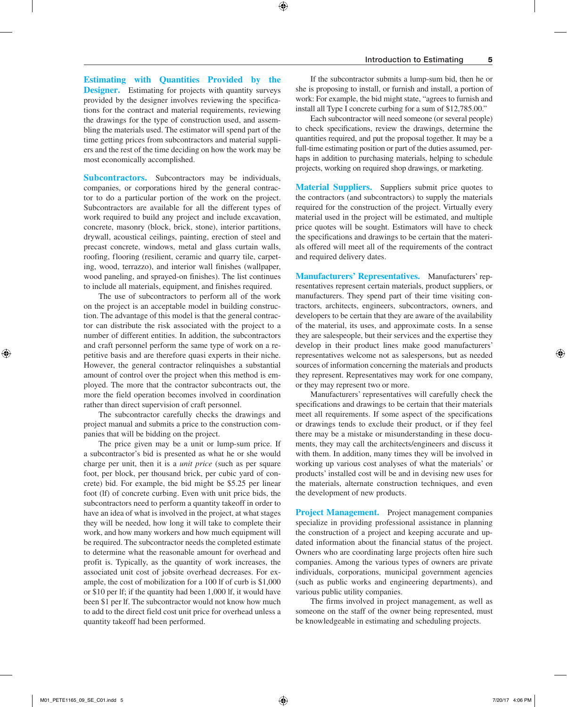**Estimating with Quantities Provided by the Designer.** Estimating for projects with quantity surveys provided by the designer involves reviewing the specifications for the contract and material requirements, reviewing the drawings for the type of construction used, and assembling the materials used. The estimator will spend part of the time getting prices from subcontractors and material suppliers and the rest of the time deciding on how the work may be most economically accomplished.

**Subcontractors.** Subcontractors may be individuals, companies, or corporations hired by the general contractor to do a particular portion of the work on the project. Subcontractors are available for all the different types of work required to build any project and include excavation, concrete, masonry (block, brick, stone), interior partitions, drywall, acoustical ceilings, painting, erection of steel and precast concrete, windows, metal and glass curtain walls, roofing, flooring (resilient, ceramic and quarry tile, carpeting, wood, terrazzo), and interior wall finishes (wallpaper, wood paneling, and sprayed-on finishes). The list continues to include all materials, equipment, and finishes required.

The use of subcontractors to perform all of the work on the project is an acceptable model in building construction. The advantage of this model is that the general contractor can distribute the risk associated with the project to a number of different entities. In addition, the subcontractors and craft personnel perform the same type of work on a repetitive basis and are therefore quasi experts in their niche. However, the general contractor relinquishes a substantial amount of control over the project when this method is employed. The more that the contractor subcontracts out, the more the field operation becomes involved in coordination rather than direct supervision of craft personnel.

The subcontractor carefully checks the drawings and project manual and submits a price to the construction companies that will be bidding on the project.

The price given may be a unit or lump-sum price. If a subcontractor's bid is presented as what he or she would charge per unit, then it is a *unit price* (such as per square foot, per block, per thousand brick, per cubic yard of concrete) bid. For example, the bid might be \$5.25 per linear foot (lf) of concrete curbing. Even with unit price bids, the subcontractors need to perform a quantity takeoff in order to have an idea of what is involved in the project, at what stages they will be needed, how long it will take to complete their work, and how many workers and how much equipment will be required. The subcontractor needs the completed estimate to determine what the reasonable amount for overhead and profit is. Typically, as the quantity of work increases, the associated unit cost of jobsite overhead decreases. For example, the cost of mobilization for a 100 lf of curb is \$1,000 or \$10 per lf; if the quantity had been 1,000 lf, it would have been \$1 per lf. The subcontractor would not know how much to add to the direct field cost unit price for overhead unless a quantity takeoff had been performed.

If the subcontractor submits a lump-sum bid, then he or she is proposing to install, or furnish and install, a portion of work: For example, the bid might state, "agrees to furnish and install all Type I concrete curbing for a sum of \$12,785.00."

Each subcontractor will need someone (or several people) to check specifications, review the drawings, determine the quantities required, and put the proposal together. It may be a full-time estimating position or part of the duties assumed, perhaps in addition to purchasing materials, helping to schedule projects, working on required shop drawings, or marketing.

**Material Suppliers.** Suppliers submit price quotes to the contractors (and subcontractors) to supply the materials required for the construction of the project. Virtually every material used in the project will be estimated, and multiple price quotes will be sought. Estimators will have to check the specifications and drawings to be certain that the materials offered will meet all of the requirements of the contract and required delivery dates.

**Manufacturers' Representatives.** Manufacturers' representatives represent certain materials, product suppliers, or manufacturers. They spend part of their time visiting contractors, architects, engineers, subcontractors, owners, and developers to be certain that they are aware of the availability of the material, its uses, and approximate costs. In a sense they are salespeople, but their services and the expertise they develop in their product lines make good manufacturers' representatives welcome not as salespersons, but as needed sources of information concerning the materials and products they represent. Representatives may work for one company, or they may represent two or more.

Manufacturers' representatives will carefully check the specifications and drawings to be certain that their materials meet all requirements. If some aspect of the specifications or drawings tends to exclude their product, or if they feel there may be a mistake or misunderstanding in these documents, they may call the architects/engineers and discuss it with them. In addition, many times they will be involved in working up various cost analyses of what the materials' or products' installed cost will be and in devising new uses for the materials, alternate construction techniques, and even the development of new products.

Project Management. Project management companies specialize in providing professional assistance in planning the construction of a project and keeping accurate and updated information about the financial status of the project. Owners who are coordinating large projects often hire such companies. Among the various types of owners are private individuals, corporations, municipal government agencies (such as public works and engineering departments), and various public utility companies.

The firms involved in project management, as well as someone on the staff of the owner being represented, must be knowledgeable in estimating and scheduling projects.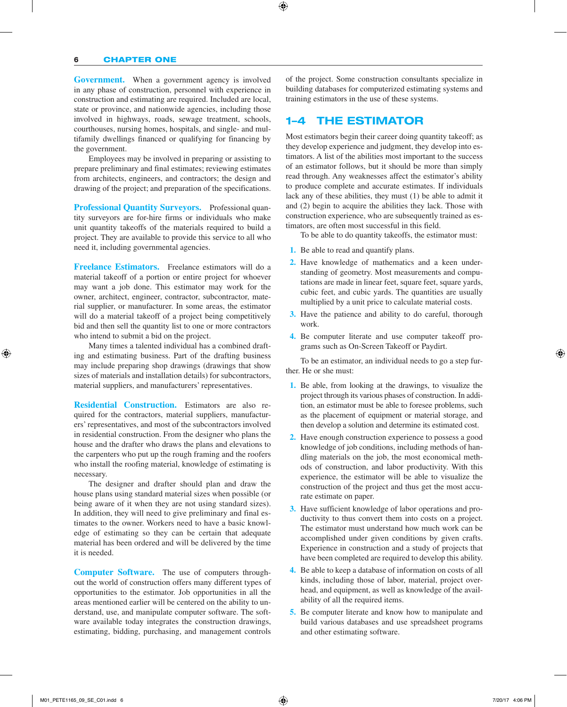**Government.** When a government agency is involved in any phase of construction, personnel with experience in construction and estimating are required. Included are local, state or province, and nationwide agencies, including those involved in highways, roads, sewage treatment, schools, courthouses, nursing homes, hospitals, and single- and multifamily dwellings financed or qualifying for financing by the government.

Employees may be involved in preparing or assisting to prepare preliminary and final estimates; reviewing estimates from architects, engineers, and contractors; the design and drawing of the project; and preparation of the specifications.

**Professional Quantity Surveyors.** Professional quantity surveyors are for-hire firms or individuals who make unit quantity takeoffs of the materials required to build a project. They are available to provide this service to all who need it, including governmental agencies.

**Freelance Estimators.** Freelance estimators will do a material takeoff of a portion or entire project for whoever may want a job done. This estimator may work for the owner, architect, engineer, contractor, subcontractor, material supplier, or manufacturer. In some areas, the estimator will do a material takeoff of a project being competitively bid and then sell the quantity list to one or more contractors who intend to submit a bid on the project.

Many times a talented individual has a combined drafting and estimating business. Part of the drafting business may include preparing shop drawings (drawings that show sizes of materials and installation details) for subcontractors, material suppliers, and manufacturers' representatives.

**Residential Construction.** Estimators are also required for the contractors, material suppliers, manufacturers' representatives, and most of the subcontractors involved in residential construction. From the designer who plans the house and the drafter who draws the plans and elevations to the carpenters who put up the rough framing and the roofers who install the roofing material, knowledge of estimating is necessary.

The designer and drafter should plan and draw the house plans using standard material sizes when possible (or being aware of it when they are not using standard sizes). In addition, they will need to give preliminary and final estimates to the owner. Workers need to have a basic knowledge of estimating so they can be certain that adequate material has been ordered and will be delivered by the time it is needed.

**Computer Software.** The use of computers throughout the world of construction offers many different types of opportunities to the estimator. Job opportunities in all the areas mentioned earlier will be centered on the ability to understand, use, and manipulate computer software. The software available today integrates the construction drawings, estimating, bidding, purchasing, and management controls of the project. Some construction consultants specialize in building databases for computerized estimating systems and training estimators in the use of these systems.

## 1–4 THE ESTIMATOR

Most estimators begin their career doing quantity takeoff; as they develop experience and judgment, they develop into estimators. A list of the abilities most important to the success of an estimator follows, but it should be more than simply read through. Any weaknesses affect the estimator's ability to produce complete and accurate estimates. If individuals lack any of these abilities, they must (1) be able to admit it and (2) begin to acquire the abilities they lack. Those with construction experience, who are subsequently trained as estimators, are often most successful in this field.

To be able to do quantity takeoffs, the estimator must:

- **1.** Be able to read and quantify plans.
- **2.** Have knowledge of mathematics and a keen understanding of geometry. Most measurements and computations are made in linear feet, square feet, square yards, cubic feet, and cubic yards. The quantities are usually multiplied by a unit price to calculate material costs.
- **3.** Have the patience and ability to do careful, thorough work.
- **4.** Be computer literate and use computer takeoff programs such as On-Screen Takeoff or Paydirt.

To be an estimator, an individual needs to go a step further. He or she must:

- **1.** Be able, from looking at the drawings, to visualize the project through its various phases of construction. In addition, an estimator must be able to foresee problems, such as the placement of equipment or material storage, and then develop a solution and determine its estimated cost.
- **2.** Have enough construction experience to possess a good knowledge of job conditions, including methods of handling materials on the job, the most economical methods of construction, and labor productivity. With this experience, the estimator will be able to visualize the construction of the project and thus get the most accurate estimate on paper.
- **3.** Have sufficient knowledge of labor operations and productivity to thus convert them into costs on a project. The estimator must understand how much work can be accomplished under given conditions by given crafts. Experience in construction and a study of projects that have been completed are required to develop this ability.
- **4.** Be able to keep a database of information on costs of all kinds, including those of labor, material, project overhead, and equipment, as well as knowledge of the availability of all the required items.
- **5.** Be computer literate and know how to manipulate and build various databases and use spreadsheet programs and other estimating software.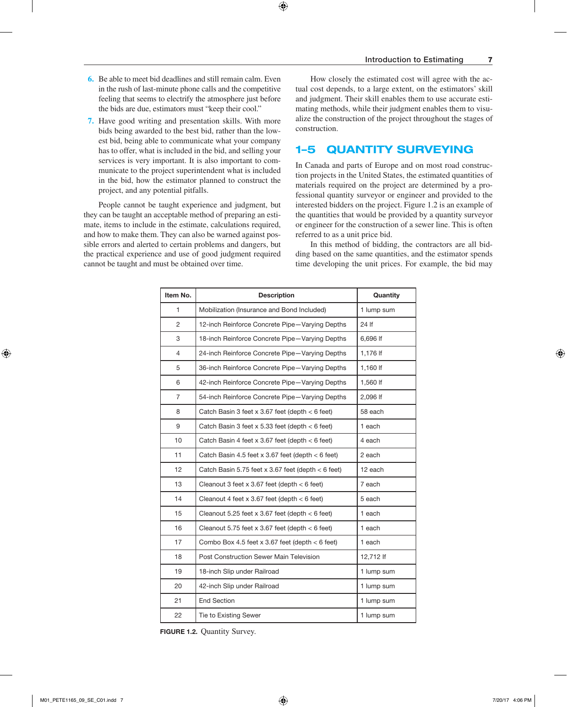- **6.** Be able to meet bid deadlines and still remain calm. Even in the rush of last-minute phone calls and the competitive feeling that seems to electrify the atmosphere just before the bids are due, estimators must "keep their cool."
- **7.** Have good writing and presentation skills. With more bids being awarded to the best bid, rather than the lowest bid, being able to communicate what your company has to offer, what is included in the bid, and selling your services is very important. It is also important to communicate to the project superintendent what is included in the bid, how the estimator planned to construct the project, and any potential pitfalls.

People cannot be taught experience and judgment, but they can be taught an acceptable method of preparing an estimate, items to include in the estimate, calculations required, and how to make them. They can also be warned against possible errors and alerted to certain problems and dangers, but the practical experience and use of good judgment required cannot be taught and must be obtained over time.

How closely the estimated cost will agree with the actual cost depends, to a large extent, on the estimators' skill and judgment. Their skill enables them to use accurate estimating methods, while their judgment enables them to visualize the construction of the project throughout the stages of construction.

## 1–5 QUANTITY SURVEYING

In Canada and parts of Europe and on most road construction projects in the United States, the estimated quantities of materials required on the project are determined by a professional quantity surveyor or engineer and provided to the interested bidders on the project. Figure 1.2 is an example of the quantities that would be provided by a quantity surveyor or engineer for the construction of a sewer line. This is often referred to as a unit price bid.

In this method of bidding, the contractors are all bidding based on the same quantities, and the estimator spends time developing the unit prices. For example, the bid may

| Item No.       | <b>Description</b>                                   | Quantity   |
|----------------|------------------------------------------------------|------------|
| 1              | Mobilization (Insurance and Bond Included)           | 1 lump sum |
| $\overline{c}$ | 12-inch Reinforce Concrete Pipe-Varying Depths       | 24 If      |
| 3              | 18-inch Reinforce Concrete Pipe-Varying Depths       | 6,696 lf   |
| $\overline{4}$ | 24-inch Reinforce Concrete Pipe-Varying Depths       | 1,176 lf   |
| 5              | 36-inch Reinforce Concrete Pipe-Varying Depths       | 1,160 lf   |
| 6              | 42-inch Reinforce Concrete Pipe-Varying Depths       | 1,560 lf   |
| $\overline{7}$ | 54-inch Reinforce Concrete Pipe-Varying Depths       | 2,096 lf   |
| 8              | Catch Basin 3 feet x 3.67 feet (depth $<$ 6 feet)    | 58 each    |
| 9              | Catch Basin 3 feet x 5.33 feet (depth $<$ 6 feet)    | 1 each     |
| 10             | Catch Basin 4 feet x 3.67 feet (depth $<$ 6 feet)    | 4 each     |
| 11             | Catch Basin 4.5 feet x 3.67 feet (depth $<$ 6 feet)  | 2 each     |
| 12             | Catch Basin 5.75 feet x 3.67 feet (depth $<$ 6 feet) | 12 each    |
| 13             | Cleanout 3 feet x 3.67 feet (depth $<$ 6 feet)       | 7 each     |
| 14             | Cleanout 4 feet x 3.67 feet (depth $<$ 6 feet)       | 5 each     |
| 15             | Cleanout 5.25 feet x 3.67 feet (depth $<$ 6 feet)    | 1 each     |
| 16             | Cleanout 5.75 feet x 3.67 feet (depth $<$ 6 feet)    | 1 each     |
| 17             | Combo Box 4.5 feet x 3.67 feet (depth $<$ 6 feet)    | 1 each     |
| 18             | Post Construction Sewer Main Television              | 12,712 If  |
| 19             | 18-inch Slip under Railroad                          | 1 lump sum |
| 20             | 42-inch Slip under Railroad                          | 1 lump sum |
| 21             | <b>End Section</b>                                   | 1 lump sum |
| 22             | Tie to Existing Sewer                                | 1 lump sum |

FIGURE 1.2. Quantity Survey.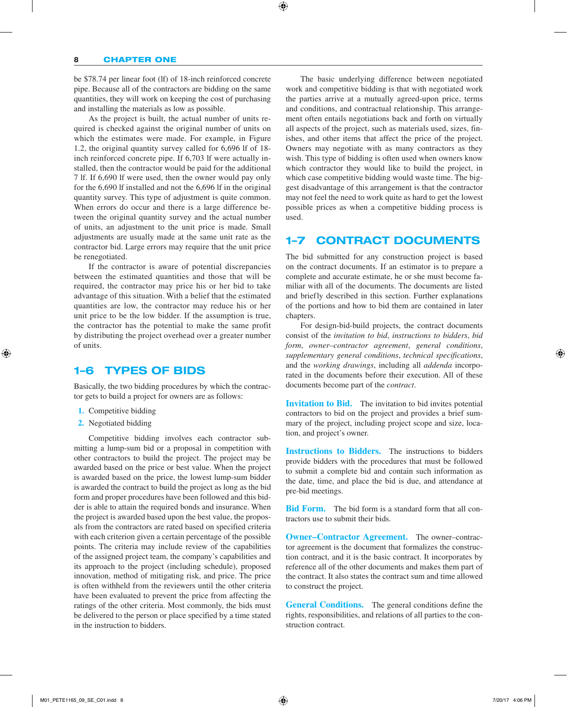be \$78.74 per linear foot (lf) of 18-inch reinforced concrete pipe. Because all of the contractors are bidding on the same quantities, they will work on keeping the cost of purchasing and installing the materials as low as possible.

As the project is built, the actual number of units required is checked against the original number of units on which the estimates were made. For example, in Figure 1.2, the original quantity survey called for 6,696 lf of 18 inch reinforced concrete pipe. If 6,703 lf were actually installed, then the contractor would be paid for the additional 7 lf. If 6,690 lf were used, then the owner would pay only for the 6,690 lf installed and not the 6,696 lf in the original quantity survey. This type of adjustment is quite common. When errors do occur and there is a large difference between the original quantity survey and the actual number of units, an adjustment to the unit price is made. Small adjustments are usually made at the same unit rate as the contractor bid. Large errors may require that the unit price be renegotiated.

If the contractor is aware of potential discrepancies between the estimated quantities and those that will be required, the contractor may price his or her bid to take advantage of this situation. With a belief that the estimated quantities are low, the contractor may reduce his or her unit price to be the low bidder. If the assumption is true, the contractor has the potential to make the same profit by distributing the project overhead over a greater number of units.

## 1–6 TYPES OF BIDS

Basically, the two bidding procedures by which the contractor gets to build a project for owners are as follows:

- **1.** Competitive bidding
- **2.** Negotiated bidding

Competitive bidding involves each contractor submitting a lump-sum bid or a proposal in competition with other contractors to build the project. The project may be awarded based on the price or best value. When the project is awarded based on the price, the lowest lump-sum bidder is awarded the contract to build the project as long as the bid form and proper procedures have been followed and this bidder is able to attain the required bonds and insurance. When the project is awarded based upon the best value, the proposals from the contractors are rated based on specified criteria with each criterion given a certain percentage of the possible points. The criteria may include review of the capabilities of the assigned project team, the company's capabilities and its approach to the project (including schedule), proposed innovation, method of mitigating risk, and price. The price is often withheld from the reviewers until the other criteria have been evaluated to prevent the price from affecting the ratings of the other criteria. Most commonly, the bids must be delivered to the person or place specified by a time stated in the instruction to bidders.

The basic underlying difference between negotiated work and competitive bidding is that with negotiated work the parties arrive at a mutually agreed-upon price, terms and conditions, and contractual relationship. This arrangement often entails negotiations back and forth on virtually all aspects of the project, such as materials used, sizes, finishes, and other items that affect the price of the project. Owners may negotiate with as many contractors as they wish. This type of bidding is often used when owners know which contractor they would like to build the project, in which case competitive bidding would waste time. The biggest disadvantage of this arrangement is that the contractor may not feel the need to work quite as hard to get the lowest possible prices as when a competitive bidding process is used.

## 1–7 CONTRACT DOCUMENTS

The bid submitted for any construction project is based on the contract documents. If an estimator is to prepare a complete and accurate estimate, he or she must become familiar with all of the documents. The documents are listed and briefly described in this section. Further explanations of the portions and how to bid them are contained in later chapters.

For design-bid-build projects, the contract documents consist of the *invitation to bid*, *instructions to bidders*, *bid form*, *owner–contractor agreement*, *general conditions*, *supplementary general conditions*, *technical specifications*, and the *working drawings*, including all *addenda* incorporated in the documents before their execution. All of these documents become part of the *contract*.

**Invitation to Bid.** The invitation to bid invites potential contractors to bid on the project and provides a brief summary of the project, including project scope and size, location, and project's owner.

**Instructions to Bidders.** The instructions to bidders provide bidders with the procedures that must be followed to submit a complete bid and contain such information as the date, time, and place the bid is due, and attendance at pre-bid meetings.

**Bid Form.** The bid form is a standard form that all contractors use to submit their bids.

**Owner–Contractor Agreement.** The owner–contractor agreement is the document that formalizes the construction contract, and it is the basic contract. It incorporates by reference all of the other documents and makes them part of the contract. It also states the contract sum and time allowed to construct the project.

**General Conditions.** The general conditions define the rights, responsibilities, and relations of all parties to the construction contract.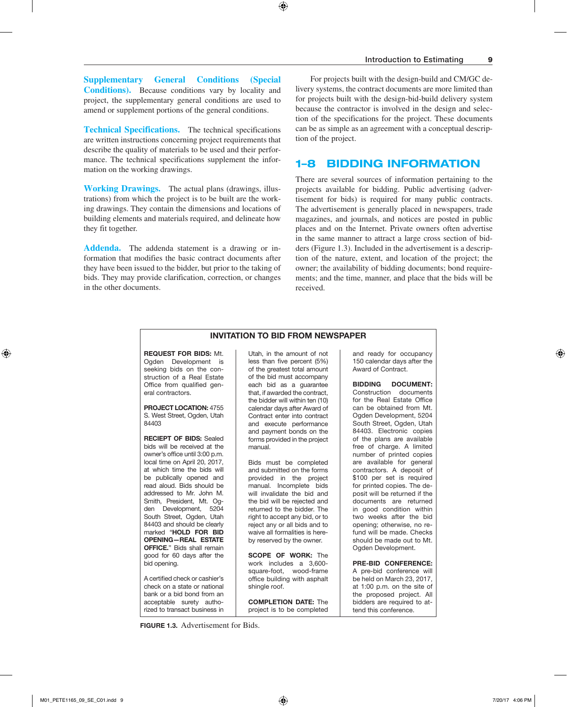**Supplementary General Conditions (Special Conditions).** Because conditions vary by locality and project, the supplementary general conditions are used to amend or supplement portions of the general conditions.

**Technical Specifications.** The technical specifications are written instructions concerning project requirements that describe the quality of materials to be used and their performance. The technical specifications supplement the information on the working drawings.

**Working Drawings.** The actual plans (drawings, illustrations) from which the project is to be built are the working drawings. They contain the dimensions and locations of building elements and materials required, and delineate how they fit together.

**Addenda.** The addenda statement is a drawing or information that modifies the basic contract documents after they have been issued to the bidder, but prior to the taking of bids. They may provide clarification, correction, or changes in the other documents.

For projects built with the design-build and CM/GC delivery systems, the contract documents are more limited than for projects built with the design-bid-build delivery system because the contractor is involved in the design and selection of the specifications for the project. These documents can be as simple as an agreement with a conceptual description of the project.

## 1–8 BIDDING INFORMATION

There are several sources of information pertaining to the projects available for bidding. Public advertising (advertisement for bids) is required for many public contracts. The advertisement is generally placed in newspapers, trade magazines, and journals, and notices are posted in public places and on the Internet. Private owners often advertise in the same manner to attract a large cross section of bidders (Figure 1.3). Included in the advertisement is a description of the nature, extent, and location of the project; the owner; the availability of bidding documents; bond requirements; and the time, manner, and place that the bids will be received.

#### INVITATION TO BID FROM NEWSPAPER

REQUEST FOR BIDS: Mt. Ogden Development is seeking bids on the construction of a Real Estate Office from qualified general contractors.

PROJECT LOCATION: 4755 S. West Street, Ogden, Utah 84403

RECIEPT OF BIDS: Sealed bids will be received at the owner's office until 3:00 p.m. local time on April 20, 2017, at which time the bids will be publically opened and read aloud. Bids should be addressed to Mr. John M. Smith, President, Mt. Ogden Development, 5204 South Street, Ogden, Utah 84403 and should be clearly marked "HOLD FOR BID OPENING—REAL ESTATE OFFICE." Bids shall remain good for 60 days after the bid opening.

A certified check or cashier's check on a state or national bank or a bid bond from an acceptable surety authorized to transact business in

Utah, in the amount of not less than five percent (5%) of the greatest total amount of the bid must accompany each bid as a guarantee that, if awarded the contract, the bidder will within ten (10) calendar days after Award of Contract enter into contract and execute performance and payment bonds on the forms provided in the project manual.

Bids must be completed and submitted on the forms provided in the project manual. Incomplete bids will invalidate the bid and the bid will be rejected and returned to the bidder. The right to accept any bid, or to reject any or all bids and to waive all formalities is hereby reserved by the owner.

SCOPE OF WORK: The work includes a 3,600 square-foot, wood-frame office building with asphalt shingle roof.

COMPLETION DATE: The project is to be completed

and ready for occupancy 150 calendar days after the Award of Contract.

BIDDING DOCUMENT: Construction documents for the Real Estate Office can be obtained from Mt. Ogden Development, 5204 South Street, Ogden, Utah 84403. Electronic copies of the plans are available free of charge. A limited number of printed copies are available for general contractors. A deposit of \$100 per set is required for printed copies. The deposit will be returned if the documents are returned in good condition within two weeks after the bid opening; otherwise, no refund will be made. Checks should be made out to Mt. Ogden Development.

PRE-BID CONFERENCE: A pre-bid conference will be held on March 23, 2017, at 1:00 p.m. on the site of the proposed project. All bidders are required to attend this conference.

FIGURE 1.3. Advertisement for Bids.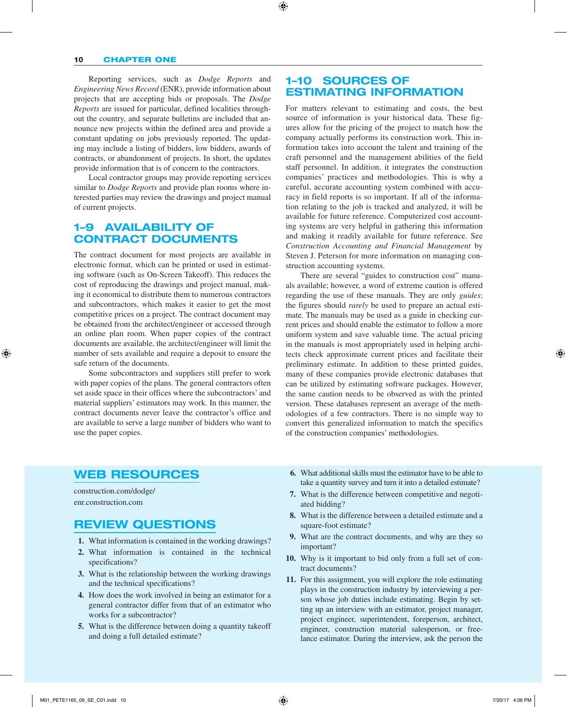Reporting services, such as *Dodge Reports* and *Engineering News Record* (ENR), provide information about projects that are accepting bids or proposals. The *Dodge Reports* are issued for particular, defined localities throughout the country, and separate bulletins are included that announce new projects within the defined area and provide a constant updating on jobs previously reported. The updating may include a listing of bidders, low bidders, awards of contracts, or abandonment of projects. In short, the updates provide information that is of concern to the contractors.

Local contractor groups may provide reporting services similar to *Dodge Reports* and provide plan rooms where interested parties may review the drawings and project manual of current projects.

## 1–9 AVAILABILITY OF CONTRACT DOCUMENTS

The contract document for most projects are available in electronic format, which can be printed or used in estimating software (such as On-Screen Takeoff). This reduces the cost of reproducing the drawings and project manual, making it economical to distribute them to numerous contractors and subcontractors, which makes it easier to get the most competitive prices on a project. The contract document may be obtained from the architect/engineer or accessed through an online plan room. When paper copies of the contract documents are available, the architect/engineer will limit the number of sets available and require a deposit to ensure the safe return of the documents.

Some subcontractors and suppliers still prefer to work with paper copies of the plans. The general contractors often set aside space in their offices where the subcontractors' and material suppliers' estimators may work. In this manner, the contract documents never leave the contractor's office and are available to serve a large number of bidders who want to use the paper copies.

## 1–10 SOURCES OF ESTIMATING INFORMATION

For matters relevant to estimating and costs, the best source of information is your historical data. These figures allow for the pricing of the project to match how the company actually performs its construction work. This information takes into account the talent and training of the craft personnel and the management abilities of the field staff personnel. In addition, it integrates the construction companies' practices and methodologies. This is why a careful, accurate accounting system combined with accuracy in field reports is so important. If all of the information relating to the job is tracked and analyzed, it will be available for future reference. Computerized cost accounting systems are very helpful in gathering this information and making it readily available for future reference. See *Construction Accounting and Financial Management* by Steven J. Peterson for more information on managing construction accounting systems.

There are several "guides to construction cost" manuals available; however, a word of extreme caution is offered regarding the use of these manuals. They are only *guides*; the figures should *rarely* be used to prepare an actual estimate. The manuals may be used as a guide in checking current prices and should enable the estimator to follow a more uniform system and save valuable time. The actual pricing in the manuals is most appropriately used in helping architects check approximate current prices and facilitate their preliminary estimate. In addition to these printed guides, many of these companies provide electronic databases that can be utilized by estimating software packages. However, the same caution needs to be observed as with the printed version. These databases represent an average of the methodologies of a few contractors. There is no simple way to convert this generalized information to match the specifics of the construction companies' methodologies.

## WEB RESOURCES

construction.com/dodge/ enr.construction.com

## REVIEW QUESTIONS

- **1.** What information is contained in the working drawings?
- **2.** What information is contained in the technical specifications?
- **3.** What is the relationship between the working drawings and the technical specifications?
- **4.** How does the work involved in being an estimator for a general contractor differ from that of an estimator who works for a subcontractor?
- **5.** What is the difference between doing a quantity takeoff and doing a full detailed estimate?
- **6.** What additional skills must the estimator have to be able to take a quantity survey and turn it into a detailed estimate?
- **7.** What is the difference between competitive and negotiated bidding?
- **8.** What is the difference between a detailed estimate and a square-foot estimate?
- **9.** What are the contract documents, and why are they so important?
- **10.** Why is it important to bid only from a full set of contract documents?
- **11.** For this assignment, you will explore the role estimating plays in the construction industry by interviewing a person whose job duties include estimating. Begin by setting up an interview with an estimator, project manager, project engineer, superintendent, foreperson, architect, engineer, construction material salesperson, or freelance estimator. During the interview, ask the person the